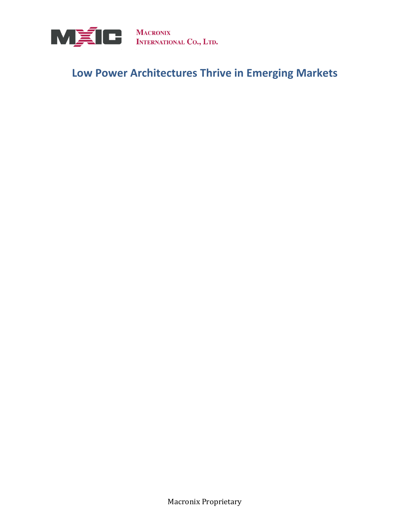

# **Low Power Architectures Thrive in Emerging Markets**

Macronix Proprietary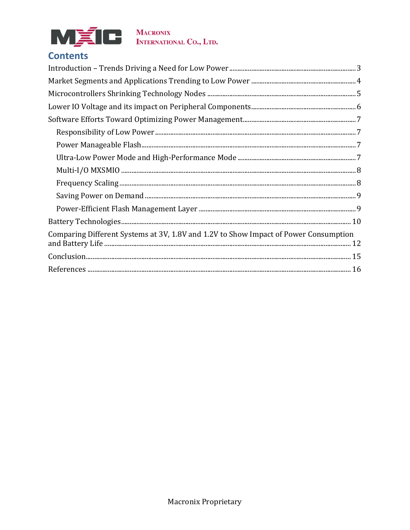

# **Contents**

| Comparing Different Systems at 3V, 1.8V and 1.2V to Show Impact of Power Consumption |  |
|--------------------------------------------------------------------------------------|--|
|                                                                                      |  |
|                                                                                      |  |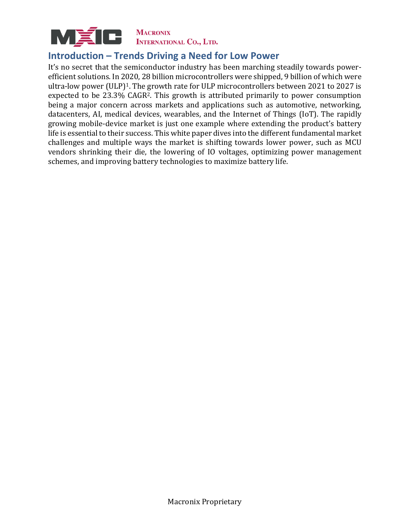

#### <span id="page-2-0"></span>**Introduction – Trends Driving a Need for Low Power**

It's no secret that the semiconductor industry has been marching steadily towards powerefficient solutions. In 2020, 28 billion microcontrollers were shipped, 9 billion of which were ultra-low power (ULP)<sup>1</sup>. The growth rate for ULP microcontrollers between 2021 to 2027 is expected to be 23.3% CAGR2. This growth is attributed primarily to power consumption being a major concern across markets and applications such as automotive, networking, datacenters, AI, medical devices, wearables, and the Internet of Things (IoT). The rapidly growing mobile-device market is just one example where extending the product's battery life is essential to their success. This white paper dives into the different fundamental market challenges and multiple ways the market is shifting towards lower power, such as MCU vendors shrinking their die, the lowering of IO voltages, optimizing power management schemes, and improving battery technologies to maximize battery life.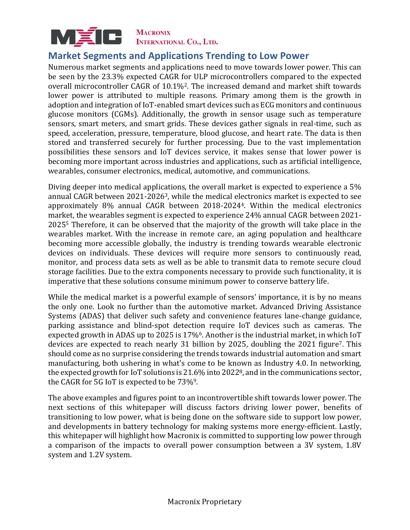

#### <span id="page-3-0"></span>**Market Segments and Applications Trending to Low Power**

Numerous market segments and applications need to move towards lower power. This can be seen by the 23.3% expected CAGR for ULP microcontrollers compared to the expected overall microcontroller CAGR of 10.1%2. The increased demand and market shift towards lower power is attributed to multiple reasons. Primary among them is the growth in adoption and integration of IoT-enabled smart devices such as ECG monitors and continuous glucose monitors (CGMs). Additionally, the growth in sensor usage such as temperature sensors, smart meters, and smart grids. These devices gather signals in real-time, such as speed, acceleration, pressure, temperature, blood glucose, and heart rate. The data is then stored and transferred securely for further processing. Due to the vast implementation possibilities these sensors and IoT devices service, it makes sense that lower power is becoming more important across industries and applications, such as artificial intelligence, wearables, consumer electronics, medical, automotive, and communications.

Diving deeper into medical applications, the overall market is expected to experience a 5% annual CAGR between 2021-20263, while the medical electronics market is expected to see approximately 8% annual CAGR between 2018-20244. Within the medical electronics market, the wearables segment is expected to experience 24% annual CAGR between 2021- 2025<sup>5</sup> Therefore, it can be observed that the majority of the growth will take place in the wearables market. With the increase in remote care, an aging population and healthcare becoming more accessible globally, the industry is trending towards wearable electronic devices on individuals. These devices will require more sensors to continuously read, monitor, and process data sets as well as be able to transmit data to remote secure cloud storage facilities. Due to the extra components necessary to provide such functionality, it is imperative that these solutions consume minimum power to conserve battery life.

While the medical market is a powerful example of sensors' importance, it is by no means the only one. Look no further than the automotive market. Advanced Driving Assistance Systems (ADAS) that deliver such safety and convenience features lane-change guidance, parking assistance and blind-spot detection require IoT devices such as cameras. The expected growth in ADAS up to 2025 is 17%6. Another is the industrial market, in which IoT devices are expected to reach nearly 31 billion by 2025, doubling the 2021 figure<sup>7</sup>. This should come as no surprise considering the trends towards industrial automation and smart manufacturing, both ushering in what's come to be known as Industry 4.0. In networking, the expected growth for IoT solutions is 21.6% into 20228, and in the communications sector, the CAGR for 5G IoT is expected to be 73%9.

The above examples and figures point to an incontrovertible shift towards lower power. The next sections of this whitepaper will discuss factors driving lower power, benefits of transitioning to low power, what is being done on the software side to support low power, and developments in battery technology for making systems more energy-efficient. Lastly, this whitepaper will highlight how Macronix is committed to supporting low power through a comparison of the impacts to overall power consumption between a 3V system, 1.8V system and 1.2V system.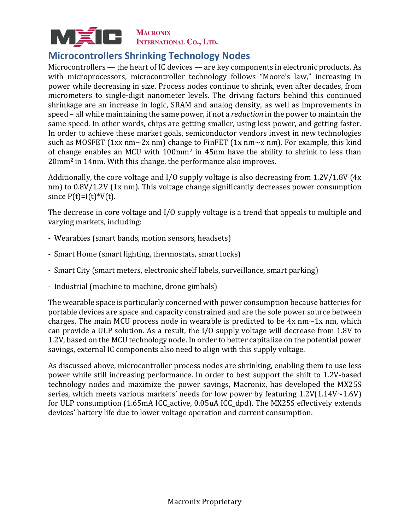

## <span id="page-4-0"></span>**Microcontrollers Shrinking Technology Nodes**

Microcontrollers — the heart of IC devices — are key components in electronic products. As with microprocessors, microcontroller technology follows "Moore's law," increasing in power while decreasing in size. Process nodes continue to shrink, even after decades, from micrometers to single-digit nanometer levels. The driving factors behind this continued shrinkage are an increase in logic, SRAM and analog density, as well as improvements in speed – all while maintaining the same power, if not a *reduction* in the power to maintain the same speed. In other words, chips are getting smaller, using less power, and getting faster. In order to achieve these market goals, semiconductor vendors invest in new technologies such as MOSFET (1xx nm~2x nm) change to FinFET (1x nm~x nm). For example, this kind of change enables an MCU with 100mm<sup>2</sup> in 45nm have the ability to shrink to less than 20mm<sup>2</sup> in 14nm. With this change, the performance also improves.

Additionally, the core voltage and I/O supply voltage is also decreasing from 1.2V/1.8V (4x nm) to  $0.8V/1.2V$  (1x nm). This voltage change significantly decreases power consumption since  $P(t)=I(t)*V(t)$ .

The decrease in core voltage and I/O supply voltage is a trend that appeals to multiple and varying markets, including:

- Wearables (smart bands, motion sensors, headsets)
- Smart Home (smart lighting, thermostats, smart locks)
- Smart City (smart meters, electronic shelf labels, surveillance, smart parking)
- Industrial (machine to machine, drone gimbals)

The wearable space is particularly concerned with power consumption because batteries for portable devices are space and capacity constrained and are the sole power source between charges. The main MCU process node in wearable is predicted to be  $4x$  nm $\sim 1x$  nm, which can provide a ULP solution. As a result, the I/O supply voltage will decrease from 1.8V to 1.2V, based on the MCU technology node. In order to better capitalize on the potential power savings, external IC components also need to align with this supply voltage.

As discussed above, microcontroller process nodes are shrinking, enabling them to use less power while still increasing performance. In order to best support the shift to 1.2V-based technology nodes and maximize the power savings, Macronix, has developed the MX25S series, which meets various markets' needs for low power by featuring  $1.2V(1.14V~1.6V)$ for ULP consumption (1.65mA ICC\_active, 0.05uA ICC\_dpd). The MX25S effectively extends devices' battery life due to lower voltage operation and current consumption.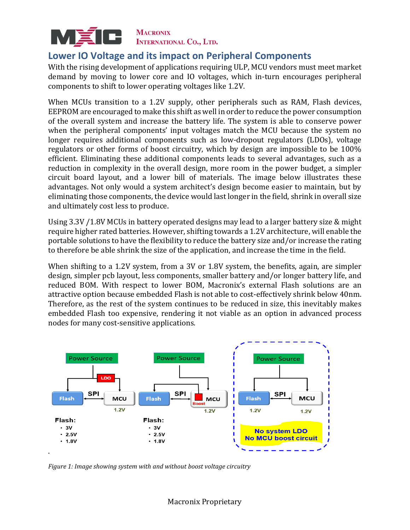

#### <span id="page-5-0"></span>**Lower IO Voltage and its impact on Peripheral Components**

With the rising development of applications requiring ULP, MCU vendors must meet market demand by moving to lower core and IO voltages, which in-turn encourages peripheral components to shift to lower operating voltages like 1.2V.

When MCUs transition to a 1.2V supply, other peripherals such as RAM, Flash devices, EEPROM are encouraged to make this shift as well in order to reduce the power consumption of the overall system and increase the battery life. The system is able to conserve power when the peripheral components' input voltages match the MCU because the system no longer requires additional components such as low-dropout regulators (LDOs), voltage regulators or other forms of boost circuitry, which by design are impossible to be 100% efficient. Eliminating these additional components leads to several advantages, such as a reduction in complexity in the overall design, more room in the power budget, a simpler circuit board layout, and a lower bill of materials. The image below illustrates these advantages. Not only would a system architect's design become easier to maintain, but by eliminating those components, the device would last longer in the field, shrink in overall size and ultimately cost less to produce.

Using 3.3V /1.8V MCUs in battery operated designs may lead to a larger battery size & might require higher rated batteries. However, shifting towards a 1.2V architecture, will enable the portable solutions to have the flexibility to reduce the battery size and/or increase the rating to therefore be able shrink the size of the application, and increase the time in the field.

When shifting to a 1.2V system, from a 3V or 1.8V system, the benefits, again, are simpler design, simpler pcb layout, less components, smaller battery and/or longer battery life, and reduced BOM. With respect to lower BOM, Macronix's external Flash solutions are an attractive option because embedded Flash is not able to cost-effectively shrink below 40nm. Therefore, as the rest of the system continues to be reduced in size, this inevitably makes embedded Flash too expensive, rendering it not viable as an option in advanced process nodes for many cost-sensitive applications.



*Figure 1: Image showing system with and without boost voltage circuitry*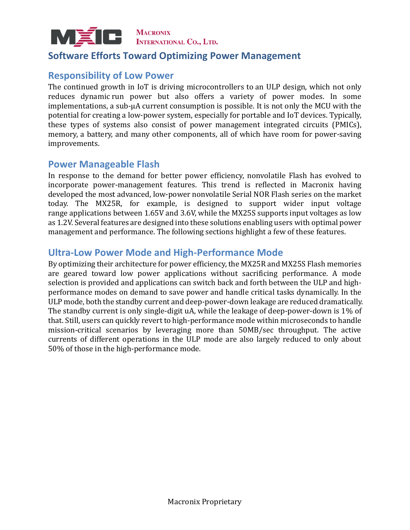

#### <span id="page-6-0"></span>**Software Efforts Toward Optimizing Power Management**

#### <span id="page-6-1"></span>**Responsibility of Low Power**

The continued growth in IoT is driving microcontrollers to an ULP design, which not only reduces dynamic run power but also offers a variety of power modes. In some implementations, a sub-µA current consumption is possible. It is not only the MCU with the potential for creating a low-power system, especially for portable and IoT devices. Typically, these types of systems also consist of power management integrated circuits (PMICs), memory, a battery, and many other components, all of which have room for power-saving improvements.

#### <span id="page-6-2"></span>**Power Manageable Flash**

In response to the demand for better power efficiency, nonvolatile Flash has evolved to incorporate power-management features. This trend is reflected in Macronix having developed the most advanced, low-power nonvolatile Serial NOR Flash series on the market today. The MX25R, for example, is designed to support wider input voltage range applications between 1.65V and 3.6V, while the MX25S supports input voltages as low as 1.2V. Several features are designed into these solutions enabling users with optimal power management and performance. The following sections highlight a few of these features.

#### <span id="page-6-3"></span>**Ultra-Low Power Mode and High-Performance Mode**

By optimizing their architecture for power efficiency, the MX25R and MX25S Flash memories are geared toward low power applications without sacrificing performance. A mode selection is provided and applications can switch back and forth between the ULP and highperformance modes on demand to save power and handle critical tasks dynamically. In the ULP mode, both the standby current and deep-power-down leakage are reduced dramatically. The standby current is only single-digit uA, while the leakage of deep-power-down is 1% of that. Still, users can quickly revert to high-performance mode within microseconds to handle mission-critical scenarios by leveraging more than 50MB/sec throughput. The active currents of different operations in the ULP mode are also largely reduced to only about 50% of those in the high-performance mode.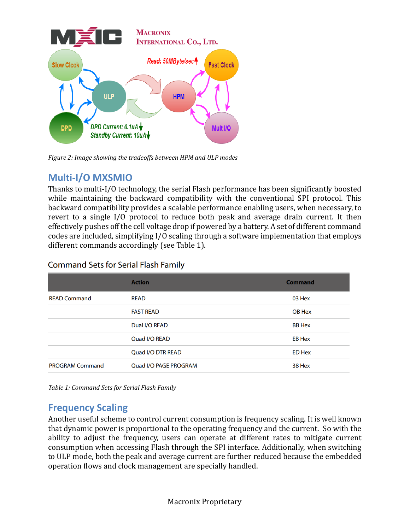

*Figure 2: Image showing the tradeoffs between HPM and ULP modes*

## <span id="page-7-0"></span>**Multi-I/O MXSMIO**

Thanks to multi-I/O technology, the serial Flash performance has been significantly boosted while maintaining the backward compatibility with the conventional SPI protocol. This backward compatibility provides a scalable performance enabling users, when necessary, to revert to a single I/O protocol to reduce both peak and average drain current. It then effectively pushes off the cell voltage drop if powered by a battery. A set of different command codes are included, simplifying I/O scaling through a software implementation that employs different commands accordingly (see Table 1).

| Command Sets for Serial Flash Family |  |  |  |  |  |
|--------------------------------------|--|--|--|--|--|
|--------------------------------------|--|--|--|--|--|

|                        | <b>Action</b>                | <b>Command</b> |
|------------------------|------------------------------|----------------|
| <b>READ Command</b>    | <b>READ</b>                  | 03 Hex         |
|                        | <b>FAST READ</b>             | QB Hex         |
|                        | Dual I/O READ                | <b>BB Hex</b>  |
|                        | Quad I/O READ                | <b>EB Hex</b>  |
|                        | Quad I/O DTR READ            | <b>ED Hex</b>  |
| <b>PROGRAM Command</b> | <b>Quad I/O PAGE PROGRAM</b> | 38 Hex         |

*Table 1: Command Sets for Serial Flash Family*

## <span id="page-7-1"></span>**Frequency Scaling**

Another useful scheme to control current consumption is frequency scaling. It is well known that dynamic power is proportional to the operating frequency and the current. So with the ability to adjust the frequency, users can operate at different rates to mitigate current consumption when accessing Flash through the SPI interface. Additionally, when switching to ULP mode, both the peak and average current are further reduced because the embedded operation flows and clock management are specially handled.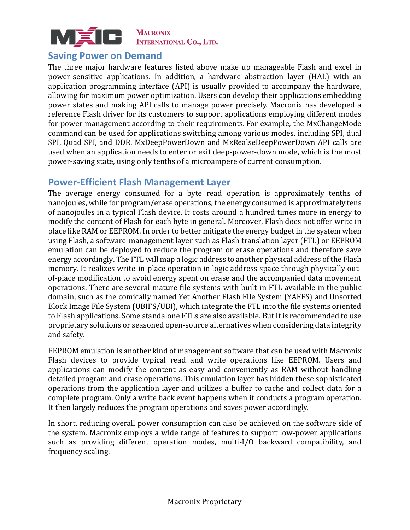

#### <span id="page-8-0"></span>**Saving Power on Demand**

The three major hardware features listed above make up manageable Flash and excel in power-sensitive applications. In addition, a hardware abstraction layer (HAL) with an application programming interface (API) is usually provided to accompany the hardware, allowing for maximum power optimization. Users can develop their applications embedding power states and making API calls to manage power precisely. Macronix has developed a reference Flash driver for its customers to support applications employing different modes for power management according to their requirements. For example, the MxChangeMode command can be used for applications switching among various modes, including SPI, dual SPI, Quad SPI, and DDR. MxDeepPowerDown and MxRealseDeepPowerDown API calls are used when an application needs to enter or exit deep-power-down mode, which is the most power-saving state, using only tenths of a microampere of current consumption.

#### <span id="page-8-1"></span>**Power-Efficient Flash Management Layer**

The average energy consumed for a byte read operation is approximately tenths of nanojoules, while for program/erase operations, the energy consumed is approximately tens of nanojoules in a typical Flash device. It costs around a hundred times more in energy to modify the content of Flash for each byte in general. Moreover, Flash does not offer write in place like RAM or EEPROM. In order to better mitigate the energy budget in the system when using Flash, a software-management layer such as Flash translation layer (FTL) or EEPROM emulation can be deployed to reduce the program or erase operations and therefore save energy accordingly. The FTL will map a logic address to another physical address of the Flash memory. It realizes write-in-place operation in logic address space through physically outof-place modification to avoid energy spent on erase and the accompanied data movement operations. There are several mature file systems with built-in FTL available in the public domain, such as the comically named Yet Another Flash File System (YAFFS) and Unsorted Block Image File System (UBIFS/UBI), which integrate the FTL into the file systems oriented to Flash applications. Some standalone FTLs are also available. But it is recommended to use proprietary solutions or seasoned open-source alternatives when considering data integrity and safety.

EEPROM emulation is another kind of management software that can be used with Macronix Flash devices to provide typical read and write operations like EEPROM. Users and applications can modify the content as easy and conveniently as RAM without handling detailed program and erase operations. This emulation layer has hidden these sophisticated operations from the application layer and utilizes a buffer to cache and collect data for a complete program. Only a write back event happens when it conducts a program operation. It then largely reduces the program operations and saves power accordingly.

In short, reducing overall power consumption can also be achieved on the software side of the system. Macronix employs a wide range of features to support low-power applications such as providing different operation modes, multi-I/O backward compatibility, and frequency scaling.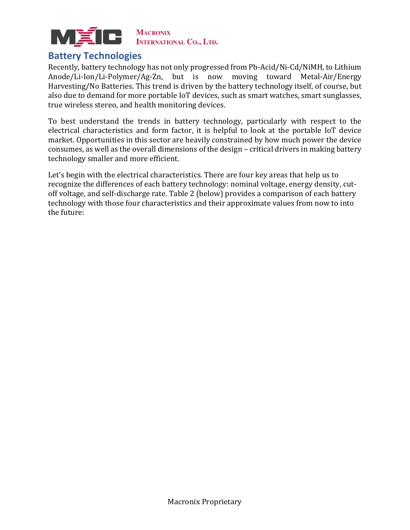

#### <span id="page-9-0"></span>**Battery Technologies**

Recently, battery technology has not only progressed from Pb-Acid/Ni-Cd/NiMH, to Lithium Anode/Li-Ion/Li-Polymer/Ag-Zn, but is now moving toward Metal-Air/Energy Harvesting/No Batteries. This trend is driven by the battery technology itself, of course, but also due to demand for more portable IoT devices, such as smart watches, smart sunglasses, true wireless stereo, and health monitoring devices.

To best understand the trends in battery technology, particularly with respect to the electrical characteristics and form factor, it is helpful to look at the portable IoT device market. Opportunities in this sector are heavily constrained by how much power the device consumes, as well as the overall dimensions of the design – critical drivers in making battery technology smaller and more efficient.

Let's begin with the electrical characteristics. There are four key areas that help us to recognize the differences of each battery technology: nominal voltage, energy density, cutoff voltage, and self-discharge rate. Table 2 (below) provides a comparison of each battery technology with those four characteristics and their approximate values from now to into the future: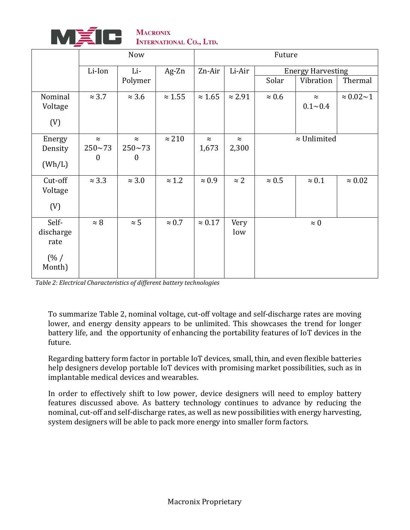

MACRONIX<br>INTERNATIONAL CO., LTD.

|           | Now              |               |                | Future         |                |                          |               |                       |
|-----------|------------------|---------------|----------------|----------------|----------------|--------------------------|---------------|-----------------------|
|           | Li-Ion           | Li-           | $Ag$ -Zn       | Zn-Air         | Li-Air         | <b>Energy Harvesting</b> |               |                       |
|           |                  | Polymer       |                |                |                | Solar                    | Vibration     | Thermal               |
| Nominal   | $\approx 3.7$    | $\approx 3.6$ | $\approx 1.55$ | $\approx 1.65$ | $\approx 2.91$ | $\approx 0.6$            | $\approx$     | $\approx 0.02 \sim 1$ |
| Voltage   |                  |               |                |                |                |                          | $0.1 - 0.4$   |                       |
| (V)       |                  |               |                |                |                |                          |               |                       |
| Energy    | $\approx$        | $\approx$     | $\approx 210$  | $\approx$      | $\approx$      | $\approx$ Unlimited      |               |                       |
| Density   | $250 - 73$       | $250 - 73$    |                | 1,673          | 2,300          |                          |               |                       |
| (Wh/L)    | $\boldsymbol{0}$ | $\mathbf{0}$  |                |                |                |                          |               |                       |
| Cut-off   | $\approx 3.3$    | $\approx 3.0$ | $\approx 1.2$  | $\approx 0.9$  | $\approx$ 2    | $\approx 0.5$            | $\approx 0.1$ | $\approx 0.02$        |
| Voltage   |                  |               |                |                |                |                          |               |                       |
| (V)       |                  |               |                |                |                |                          |               |                       |
| Self-     | $\approx 8$      | $\approx 5$   | $\approx 0.7$  | $\approx 0.17$ | Very           |                          | $\approx 0$   |                       |
| discharge |                  |               |                |                | low            |                          |               |                       |
| rate      |                  |               |                |                |                |                          |               |                       |
| (% /      |                  |               |                |                |                |                          |               |                       |
| Month)    |                  |               |                |                |                |                          |               |                       |

*Table 2: Electrical Characteristics of different battery technologies*

To summarize Table 2, nominal voltage, cut-off voltage and self-discharge rates are moving lower, and energy density appears to be unlimited. This showcases the trend for longer battery life, and the opportunity of enhancing the portability features of IoT devices in the future.

Regarding battery form factor in portable IoT devices, small, thin, and even flexible batteries help designers develop portable IoT devices with promising market possibilities, such as in implantable medical devices and wearables.

In order to effectively shift to low power, device designers will need to employ battery features discussed above. As battery technology continues to advance by reducing the nominal, cut-off and self-discharge rates, as well as new possibilities with energy harvesting, system designers will be able to pack more energy into smaller form factors.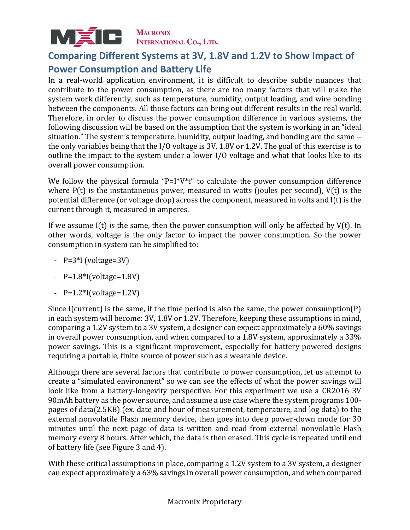

## <span id="page-11-0"></span>**Comparing Different Systems at 3V, 1.8V and 1.2V to Show Impact of Power Consumption and Battery Life**

In a real-world application environment, it is difficult to describe subtle nuances that contribute to the power consumption, as there are too many factors that will make the system work differently, such as temperature, humidity, output loading, and wire bonding between the components. All those factors can bring out different results in the real world. Therefore, in order to discuss the power consumption difference in various systems, the following discussion will be based on the assumption that the system is working in an "ideal situation." The system's temperature, humidity, output loading, and bonding are the same - the only variables being that the I/O voltage is 3V, 1.8V or 1.2V. The goal of this exercise is to outline the impact to the system under a lower I/O voltage and what that looks like to its overall power consumption.

We follow the physical formula "P=I $*V*t$ " to calculate the power consumption difference where P(t) is the instantaneous power, measured in watts (joules per second), V(t) is the potential difference (or voltage drop) across the component, measured in volts and I(t) is the current through it, measured in amperes.

If we assume  $I(t)$  is the same, then the power consumption will only be affected by  $V(t)$ . In other words, voltage is the only factor to impact the power consumption. So the power consumption in system can be simplified to:

- P=3\*I (voltage=3V)
- $P=1.8*$ I(voltage=1.8V)
- $-$  P=1.2\*I(voltage=1.2V)

Since I(current) is the same, if the time period is also the same, the power consumption(P) in each system will become: 3V, 1.8V or 1.2V. Therefore, keeping these assumptions in mind, comparing a 1.2V system to a 3V system, a designer can expect approximately a 60% savings in overall power consumption, and when compared to a 1.8V system, approximately a 33% power savings. This is a significant improvement, especially for battery-powered designs requiring a portable, finite source of power such as a wearable device.

Although there are several factors that contribute to power consumption, let us attempt to create a "simulated environment" so we can see the effects of what the power savings will look like from a battery-longevity perspective. For this experiment we use a CR2016 3V 90mAh battery as the power source, and assume a use case where the system programs 100 pages of data(2.5KB) (ex. date and hour of measurement, temperature, and log data) to the external nonvolatile Flash memory device, then goes into deep power-down mode for 30 minutes until the next page of data is written and read from external nonvolatile Flash memory every 8 hours. After which, the data is then erased. This cycle is repeated until end of battery life (see Figure 3 and 4).

With these critical assumptions in place, comparing a 1.2V system to a 3V system, a designer can expect approximately a 63% savings in overall power consumption, and when compared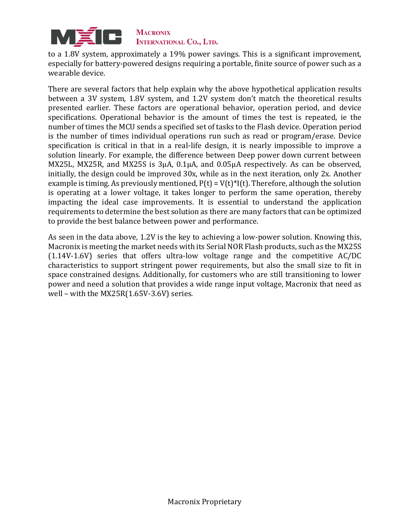

to a 1.8V system, approximately a 19% power savings. This is a significant improvement, especially for battery-powered designs requiring a portable, finite source of power such as a wearable device.

There are several factors that help explain why the above hypothetical application results between a 3V system, 1.8V system, and 1.2V system don't match the theoretical results presented earlier. These factors are operational behavior, operation period, and device specifications. Operational behavior is the amount of times the test is repeated, ie the number of times the MCU sends a specified set of tasks to the Flash device. Operation period is the number of times individual operations run such as read or program/erase. Device specification is critical in that in a real-life design, it is nearly impossible to improve a solution linearly. For example, the difference between Deep power down current between MX25L, MX25R, and MX25S is 3µA, 0.1µA, and 0.05µA respectively. As can be observed, initially, the design could be improved 30x, while as in the next iteration, only 2x. Another example is timing. As previously mentioned,  $P(t) = V(t)^*I(t)$ . Therefore, although the solution is operating at a lower voltage, it takes longer to perform the same operation, thereby impacting the ideal case improvements. It is essential to understand the application requirements to determine the best solution as there are many factors that can be optimized to provide the best balance between power and performance.

As seen in the data above, 1.2V is the key to achieving a low-power solution. Knowing this, Macronix is meeting the market needs with its Serial NOR Flash products, such as the MX25S (1.14V-1.6V) series that offers ultra-low voltage range and the competitive AC/DC characteristics to support stringent power requirements, but also the small size to fit in space constrained designs. Additionally, for customers who are still transitioning to lower power and need a solution that provides a wide range input voltage, Macronix that need as well – with the MX25R(1.65V-3.6V) series.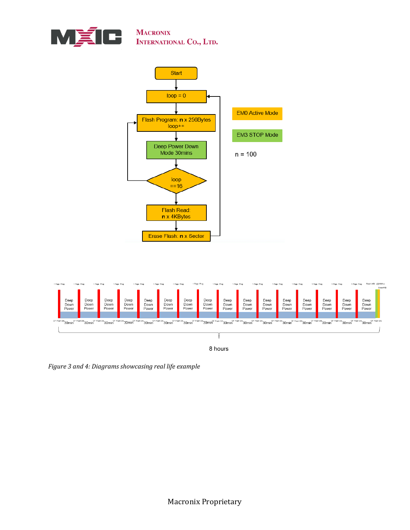





*Figure 3 and 4: Diagrams showcasing real life example*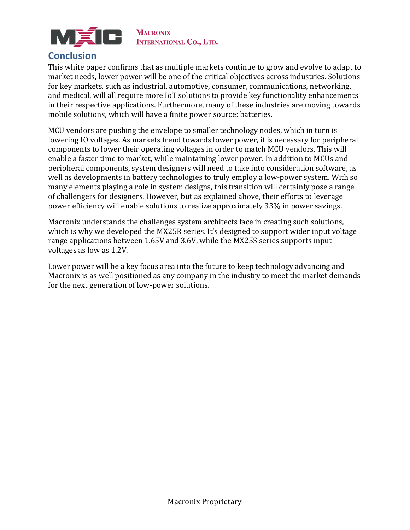

### <span id="page-14-0"></span>**Conclusion**

This white paper confirms that as multiple markets continue to grow and evolve to adapt to market needs, lower power will be one of the critical objectives across industries. Solutions for key markets, such as industrial, automotive, consumer, communications, networking, and medical, will all require more IoT solutions to provide key functionality enhancements in their respective applications. Furthermore, many of these industries are moving towards mobile solutions, which will have a finite power source: batteries.

MCU vendors are pushing the envelope to smaller technology nodes, which in turn is lowering IO voltages. As markets trend towards lower power, it is necessary for peripheral components to lower their operating voltages in order to match MCU vendors. This will enable a faster time to market, while maintaining lower power. In addition to MCUs and peripheral components, system designers will need to take into consideration software, as well as developments in battery technologies to truly employ a low-power system. With so many elements playing a role in system designs, this transition will certainly pose a range of challengers for designers. However, but as explained above, their efforts to leverage power efficiency will enable solutions to realize approximately 33% in power savings.

Macronix understands the challenges system architects face in creating such solutions, which is why we developed the MX25R series. It's designed to support wider input voltage range applications between 1.65V and 3.6V, while the MX25S series supports input voltages as low as 1.2V.

Lower power will be a key focus area into the future to keep technology advancing and Macronix is as well positioned as any company in the industry to meet the market demands for the next generation of low-power solutions.